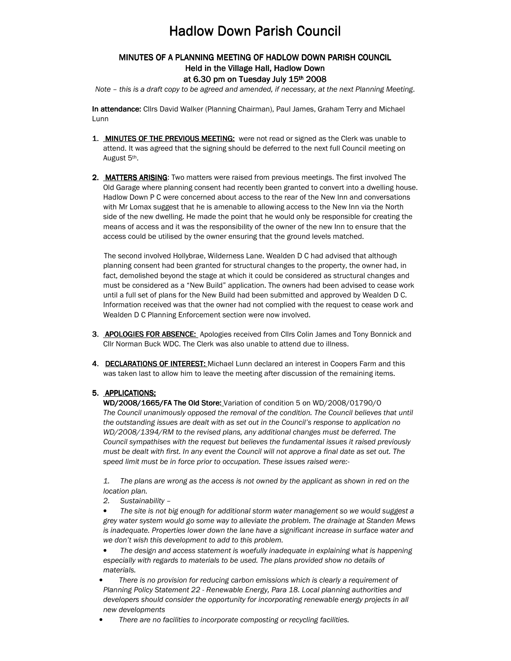# **Hadlow Down Parish Council**

## MINUTES OF A PLANNING MEETING OF HADLOW DOWN PARISH COUNCIL Held in the Village Hall, Hadlow Down at 6.30 pm on Tuesday July 15th 2008

Note – this is a draft copy to be agreed and amended, if necessary, at the next Planning Meeting.

In attendance: Cllrs David Walker (Planning Chairman), Paul James, Graham Terry and Michael Lunn

- 1. MINUTES OF THE PREVIOUS MEETING: were not read or signed as the Clerk was unable to attend. It was agreed that the signing should be deferred to the next full Council meeting on August 5th.
- 2. MATTERS ARISING: Two matters were raised from previous meetings. The first involved The Old Garage where planning consent had recently been granted to convert into a dwelling house. Hadlow Down P C were concerned about access to the rear of the New Inn and conversations with Mr Lomax suggest that he is amenable to allowing access to the New Inn via the North side of the new dwelling. He made the point that he would only be responsible for creating the means of access and it was the responsibility of the owner of the new Inn to ensure that the access could be utilised by the owner ensuring that the ground levels matched.

 The second involved Hollybrae, Wilderness Lane. Wealden D C had advised that although planning consent had been granted for structural changes to the property, the owner had, in fact, demolished beyond the stage at which it could be considered as structural changes and must be considered as a "New Build" application. The owners had been advised to cease work until a full set of plans for the New Build had been submitted and approved by Wealden D C. Information received was that the owner had not complied with the request to cease work and Wealden D C Planning Enforcement section were now involved.

- 3. APOLOGIES FOR ABSENCE: Apologies received from Cllrs Colin James and Tony Bonnick and Cllr Norman Buck WDC. The Clerk was also unable to attend due to illness.
- 4. DECLARATIONS OF INTEREST: Michael Lunn declared an interest in Coopers Farm and this was taken last to allow him to leave the meeting after discussion of the remaining items.

## 5. APPLICATIONS;

WD/2008/1665/FA The Old Store: Variation of condition 5 on WD/2008/01790/0 The Council unanimously opposed the removal of the condition. The Council believes that until the outstanding issues are dealt with as set out in the Council's response to application no WD/2008/1394/RM to the revised plans, any additional changes must be deferred. The Council sympathises with the request but believes the fundamental issues it raised previously must be dealt with first. In any event the Council will not approve a final date as set out. The speed limit must be in force prior to occupation. These issues raised were:-

1. The plans are wrong as the access is not owned by the applicant as shown in red on the location plan.

2. Sustainability –

The site is not big enough for additional storm water management so we would suggest a grey water system would go some way to alleviate the problem. The drainage at Standen Mews is inadequate. Properties lower down the lane have a significant increase in surface water and we don't wish this development to add to this problem.

The design and access statement is woefully inadequate in explaining what is happening especially with regards to materials to be used. The plans provided show no details of materials.

- There is no provision for reducing carbon emissions which is clearly a requirement of Planning Policy Statement 22 - Renewable Energy, Para 18. Local planning authorities and developers should consider the opportunity for incorporating renewable energy projects in all new developments
- There are no facilities to incorporate composting or recycling facilities.